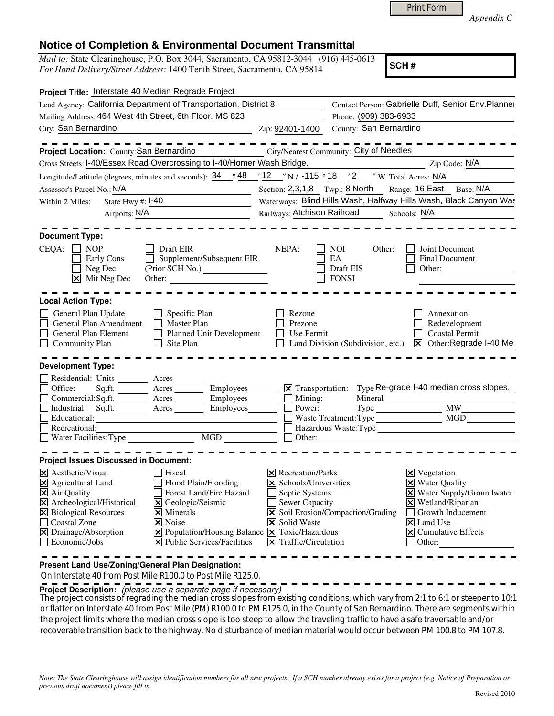Print Form

*Appendix C* 

## **Notice of Completion & Environmental Document Transmittal**

*Mail to:* State Clearinghouse, P.O. Box 3044, Sacramento, CA 95812-3044 (916) 445-0613 *For Hand Delivery/Street Address:* 1400 Tenth Street, Sacramento, CA 95814

**SCH #**

| Project Title: Interstate 40 Median Regrade Project                                                                                                                                                                                                                                                                                                                                                                                                                                  |                                                                                                                                                                                                                                     |                                                                                                                                                                                                |  |
|--------------------------------------------------------------------------------------------------------------------------------------------------------------------------------------------------------------------------------------------------------------------------------------------------------------------------------------------------------------------------------------------------------------------------------------------------------------------------------------|-------------------------------------------------------------------------------------------------------------------------------------------------------------------------------------------------------------------------------------|------------------------------------------------------------------------------------------------------------------------------------------------------------------------------------------------|--|
| Lead Agency: California Department of Transportation, District 8                                                                                                                                                                                                                                                                                                                                                                                                                     |                                                                                                                                                                                                                                     | Contact Person: Gabrielle Duff, Senior Env. Planner                                                                                                                                            |  |
| Mailing Address: 464 West 4th Street, 6th Floor, MS 823                                                                                                                                                                                                                                                                                                                                                                                                                              | Phone: (909) 383-6933                                                                                                                                                                                                               |                                                                                                                                                                                                |  |
| City: San Bernardino<br><u> 1989 - Johann Barbara, martin a</u>                                                                                                                                                                                                                                                                                                                                                                                                                      | County: San Bernardino<br>Zip: 92401-1400                                                                                                                                                                                           |                                                                                                                                                                                                |  |
| .<br>Project Location: County: San Bernardino                                                                                                                                                                                                                                                                                                                                                                                                                                        | City/Nearest Community: City of Needles                                                                                                                                                                                             |                                                                                                                                                                                                |  |
| Cross Streets: I-40/Essex Road Overcrossing to I-40/Homer Wash Bridge.                                                                                                                                                                                                                                                                                                                                                                                                               |                                                                                                                                                                                                                                     | Zip Code: N/A                                                                                                                                                                                  |  |
| Longitude/Latitude (degrees, minutes and seconds): $\frac{34}{9}$ $\frac{48}{12}$ $\frac{712}{15}$ $\frac{715}{9}$ 18 $\frac{72}{2}$ $\frac{7}{2}$ W Total Acres: N/A                                                                                                                                                                                                                                                                                                                |                                                                                                                                                                                                                                     |                                                                                                                                                                                                |  |
| Assessor's Parcel No.: N/A<br>the control of the control of the control of                                                                                                                                                                                                                                                                                                                                                                                                           | Section: 2,3,1,8 Twp.: 8 North Range: 16 East Base: N/A                                                                                                                                                                             |                                                                                                                                                                                                |  |
| State Hwy $\#$ : $I - 40$<br>Within 2 Miles:                                                                                                                                                                                                                                                                                                                                                                                                                                         | Waterways: Blind Hills Wash, Halfway Hills Wash, Black Canyon Was                                                                                                                                                                   |                                                                                                                                                                                                |  |
| Airports: N/A<br><u> 1980 - Jan Barbara Barbara, prima popular popular popular popular popular popular popular popular popular po</u>                                                                                                                                                                                                                                                                                                                                                | Railways: Atchison Railroad Schools: N/A                                                                                                                                                                                            |                                                                                                                                                                                                |  |
| <b>Document Type:</b>                                                                                                                                                                                                                                                                                                                                                                                                                                                                |                                                                                                                                                                                                                                     |                                                                                                                                                                                                |  |
| $CEQA: \Box NP$<br>$\Box$ Draft EIR<br>$\Box$ Supplement/Subsequent EIR<br>$\Box$ Early Cons<br>Neg Dec<br>$\overline{\mathsf{x}}$ Mit Neg Dec<br>Other:                                                                                                                                                                                                                                                                                                                             | NEPA:<br><b>NOI</b><br>Other:<br>EA<br>Draft EIS<br><b>FONSI</b>                                                                                                                                                                    | Joint Document<br>Final Document<br>Other:                                                                                                                                                     |  |
| <b>Local Action Type:</b>                                                                                                                                                                                                                                                                                                                                                                                                                                                            |                                                                                                                                                                                                                                     |                                                                                                                                                                                                |  |
| General Plan Update<br>$\Box$ Specific Plan<br>General Plan Amendment   Master Plan<br>General Plan Element<br>Planned Unit Development<br><b>Community Plan</b><br>$\Box$ Site Plan                                                                                                                                                                                                                                                                                                 | Rezone<br>Prezone<br>Use Permit<br>Land Division (Subdivision, etc.)                                                                                                                                                                | Annexation<br>Redevelopment<br><b>Coastal Permit</b><br>⊠ Other:Regrade I-40 Me                                                                                                                |  |
| <b>Development Type:</b>                                                                                                                                                                                                                                                                                                                                                                                                                                                             |                                                                                                                                                                                                                                     |                                                                                                                                                                                                |  |
| Residential: Units _________ Acres _______<br>Sq.ft. ________ Acres _________ Employees _______ $\boxtimes$ Transportation: Type Re-grade I-40 median cross slopes.<br>Office:<br>Commercial:Sq.ft. ________ Acres _________ Employees________ $\Box$<br>Industrial: Sq.ft. Acres Employees<br>Educational:<br><u> 1989 - Johann Barbara, martin da basar a shekara 1989 - An tsara 1989 - An tsara 1989 - An tsara 1989 - An tsa</u><br>Recreational:<br>Water Facilities: Type MGD | Mining:<br>Mineral<br>Power:<br>Waste Treatment: Type<br>Hazardous Waste:Type                                                                                                                                                       | <b>MW</b>                                                                                                                                                                                      |  |
| <b>Project Issues Discussed in Document:</b>                                                                                                                                                                                                                                                                                                                                                                                                                                         |                                                                                                                                                                                                                                     |                                                                                                                                                                                                |  |
| $\times$ Aesthetic/Visual<br>  Fiscal<br>X Agricultural Land<br>$\Box$ Flood Plain/Flooding<br>$\boxtimes$ Air Quality<br>Forest Land/Fire Hazard<br>X Archeological/Historical<br>X Geologic/Seismic<br><b>X</b> Biological Resources<br>$\times$ Minerals<br>X Noise<br>Coastal Zone<br>X Drainage/Absorption<br>$\boxed{\mathbf{X}}$ Population/Housing Balance $\boxed{\mathbf{X}}$ Toxic/Hazardous<br>Economic/Jobs<br>$ \mathbf{\overline{X}} $ Public Services/Facilities     | $\times$ Recreation/Parks<br>$\boxtimes$ Schools/Universities<br>$\Box$ Septic Systems<br>Sewer Capacity<br>$\boxed{\mathsf{X}}$ Soil Erosion/Compaction/Grading<br><b>X</b> Solid Waste<br>$ \mathbf{\nabla} $ Traffic/Circulation | $\times$ Vegetation<br><b>X</b> Water Quality<br>X Water Supply/Groundwater<br>X Wetland/Riparian<br>Growth Inducement<br>Land Use<br>$\vert\mathsf{x}\vert$<br>X Cumulative Effects<br>Other: |  |

**Present Land Use/Zoning/General Plan Designation:**

On Interstate 40 from Post Mile R100.0 to Post Mile R125.0.

**Project Description:** (please use a separate page if necessary)

The project consists of regrading the median cross slopes from existing conditions, which vary from 2:1 to 6:1 or steeper to 10:1 or flatter on Interstate 40 from Post Mile (PM) R100.0 to PM R125.0, in the County of San Bernardino. There are segments within the project limits where the median cross slope is too steep to allow the traveling traffic to have a safe traversable and/or recoverable transition back to the highway. No disturbance of median material would occur between PM 100.8 to PM 107.8.